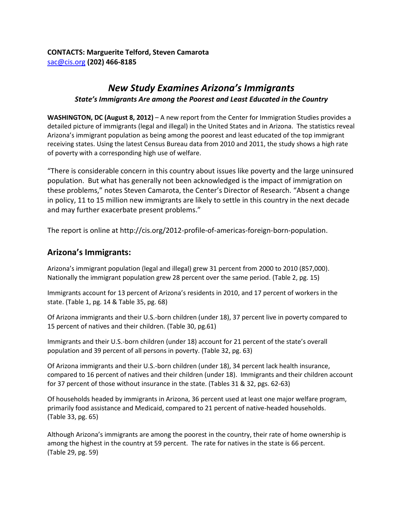## **CONTACTS: Marguerite Telford, Steven Camarota** [sac@cis.org](mailto:sac@cis.org) **(202) 466-8185**

# *New Study Examines Arizona's Immigrants State's Immigrants Are among the Poorest and Least Educated in the Country*

**WASHINGTON, DC (August 8, 2012)** – A new report from the Center for Immigration Studies provides a detailed picture of immigrants (legal and illegal) in the United States and in Arizona. The statistics reveal Arizona's immigrant population as being among the poorest and least educated of the top immigrant receiving states. Using the latest Census Bureau data from 2010 and 2011, the study shows a high rate of poverty with a corresponding high use of welfare.

"There is considerable concern in this country about issues like poverty and the large uninsured population. But what has generally not been acknowledged is the impact of immigration on these problems," notes Steven Camarota, the Center's Director of Research. "Absent a change in policy, 11 to 15 million new immigrants are likely to settle in this country in the next decade and may further exacerbate present problems."

The report is online at http://cis.org/2012-profile-of-americas-foreign-born-population.

## **Arizona's Immigrants:**

Arizona's immigrant population (legal and illegal) grew 31 percent from 2000 to 2010 (857,000). Nationally the immigrant population grew 28 percent over the same period. (Table 2, pg. 15)

Immigrants account for 13 percent of Arizona's residents in 2010, and 17 percent of workers in the state. (Table 1, pg. 14 & Table 35, pg. 68)

Of Arizona immigrants and their U.S.-born children (under 18), 37 percent live in poverty compared to 15 percent of natives and their children. (Table 30, pg.61)

Immigrants and their U.S.-born children (under 18) account for 21 percent of the state's overall population and 39 percent of all persons in poverty. (Table 32, pg. 63)

Of Arizona immigrants and their U.S.-born children (under 18), 34 percent lack health insurance, compared to 16 percent of natives and their children (under 18). Immigrants and their children account for 37 percent of those without insurance in the state. (Tables 31 & 32, pgs. 62-63)

Of households headed by immigrants in Arizona, 36 percent used at least one major welfare program, primarily food assistance and Medicaid, compared to 21 percent of native-headed households. (Table 33, pg. 65)

Although Arizona's immigrants are among the poorest in the country, their rate of home ownership is among the highest in the country at 59 percent. The rate for natives in the state is 66 percent. (Table 29, pg. 59)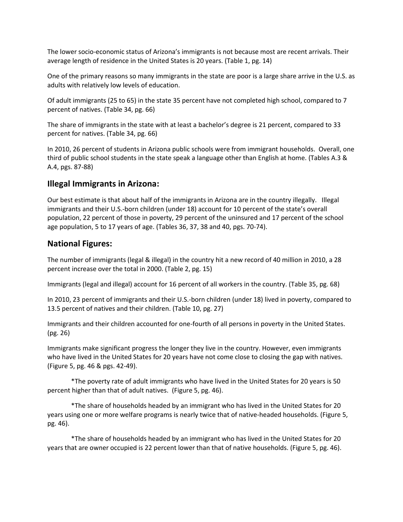The lower socio-economic status of Arizona's immigrants is not because most are recent arrivals. Their average length of residence in the United States is 20 years. (Table 1, pg. 14)

One of the primary reasons so many immigrants in the state are poor is a large share arrive in the U.S. as adults with relatively low levels of education.

Of adult immigrants (25 to 65) in the state 35 percent have not completed high school, compared to 7 percent of natives. (Table 34, pg. 66)

The share of immigrants in the state with at least a bachelor's degree is 21 percent, compared to 33 percent for natives. (Table 34, pg. 66)

In 2010, 26 percent of students in Arizona public schools were from immigrant households. Overall, one third of public school students in the state speak a language other than English at home. (Tables A.3 & A.4, pgs. 87-88)

## **Illegal Immigrants in Arizona:**

Our best estimate is that about half of the immigrants in Arizona are in the country illegally. Illegal immigrants and their U.S.-born children (under 18) account for 10 percent of the state's overall population, 22 percent of those in poverty, 29 percent of the uninsured and 17 percent of the school age population, 5 to 17 years of age. (Tables 36, 37, 38 and 40, pgs. 70-74).

## **National Figures:**

The number of immigrants (legal & illegal) in the country hit a new record of 40 million in 2010, a 28 percent increase over the total in 2000. (Table 2, pg. 15)

Immigrants (legal and illegal) account for 16 percent of all workers in the country. (Table 35, pg. 68)

In 2010, 23 percent of immigrants and their U.S.-born children (under 18) lived in poverty, compared to 13.5 percent of natives and their children. (Table 10, pg. 27)

Immigrants and their children accounted for one-fourth of all persons in poverty in the United States. (pg. 26)

Immigrants make significant progress the longer they live in the country. However, even immigrants who have lived in the United States for 20 years have not come close to closing the gap with natives. (Figure 5, pg. 46 & pgs. 42-49).

\*The poverty rate of adult immigrants who have lived in the United States for 20 years is 50 percent higher than that of adult natives. (Figure 5, pg. 46).

\*The share of households headed by an immigrant who has lived in the United States for 20 years using one or more welfare programs is nearly twice that of native-headed households. (Figure 5, pg. 46).

\*The share of households headed by an immigrant who has lived in the United States for 20 years that are owner occupied is 22 percent lower than that of native households. (Figure 5, pg. 46).